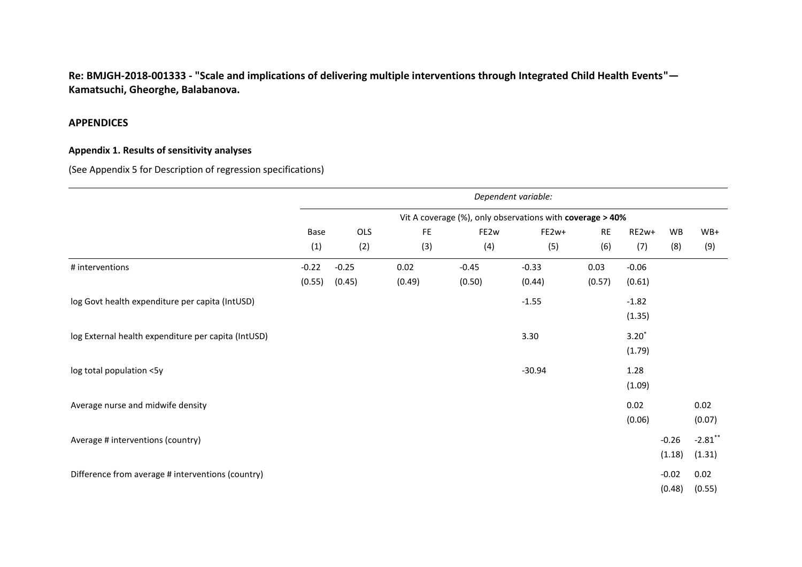**Re: BMJGH-2018-001333 - "Scale and implications of delivering multiple interventions through Integrated Child Health Events"— Kamatsuchi, Gheorghe, Balabanova.** 

## **APPENDICES**

## **Appendix 1. Results of sensitivity analyses**

(See Appendix 5 for Description of regression specifications)

|                                                     |         |         |        |         | Dependent variable:                                       |           |         |         |            |
|-----------------------------------------------------|---------|---------|--------|---------|-----------------------------------------------------------|-----------|---------|---------|------------|
|                                                     |         |         |        |         | Vit A coverage (%), only observations with coverage > 40% |           |         |         |            |
|                                                     | Base    | OLS     | FE.    | FE2w    | FE2w+                                                     | <b>RE</b> | RE2w+   | WB      | $WB+$      |
|                                                     | (1)     | (2)     | (3)    | (4)     | (5)                                                       | (6)       | (7)     | (8)     | (9)        |
| # interventions                                     | $-0.22$ | $-0.25$ | 0.02   | $-0.45$ | $-0.33$                                                   | 0.03      | $-0.06$ |         |            |
|                                                     | (0.55)  | (0.45)  | (0.49) | (0.50)  | (0.44)                                                    | (0.57)    | (0.61)  |         |            |
| log Govt health expenditure per capita (IntUSD)     |         |         |        |         | $-1.55$                                                   |           | $-1.82$ |         |            |
|                                                     |         |         |        |         |                                                           |           | (1.35)  |         |            |
| log External health expenditure per capita (IntUSD) |         |         |        |         | 3.30                                                      |           | $3.20*$ |         |            |
|                                                     |         |         |        |         |                                                           |           | (1.79)  |         |            |
| log total population <5y                            |         |         |        |         | $-30.94$                                                  |           | 1.28    |         |            |
|                                                     |         |         |        |         |                                                           |           | (1.09)  |         |            |
| Average nurse and midwife density                   |         |         |        |         |                                                           |           | 0.02    |         | 0.02       |
|                                                     |         |         |        |         |                                                           |           | (0.06)  |         | (0.07)     |
| Average # interventions (country)                   |         |         |        |         |                                                           |           |         | $-0.26$ | $-2.81$ ** |
|                                                     |         |         |        |         |                                                           |           |         | (1.18)  | (1.31)     |
| Difference from average # interventions (country)   |         |         |        |         |                                                           |           |         | $-0.02$ | 0.02       |
|                                                     |         |         |        |         |                                                           |           |         | (0.48)  | (0.55)     |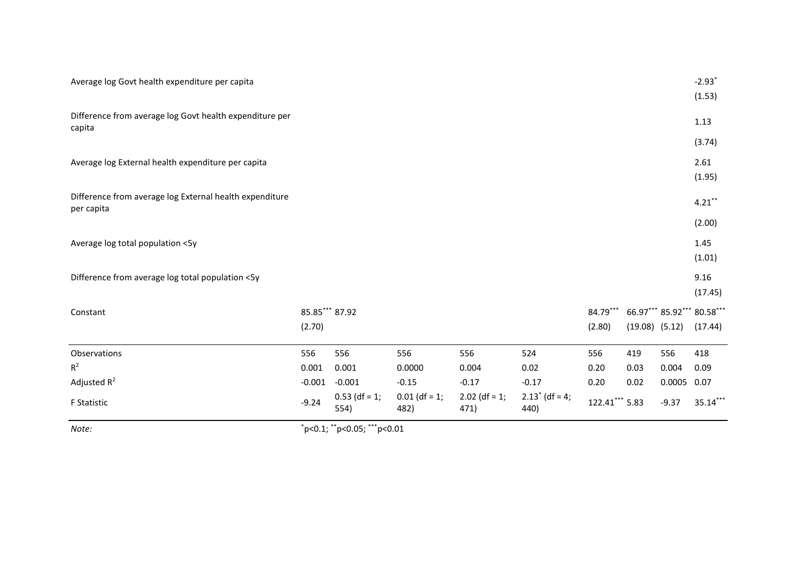| Note:                                                                 | $"p<0.1;$ $"p<0.05;$ $" "p<0.01"$ |                         |                         |                         |                           |                |                    |         |                                       |
|-----------------------------------------------------------------------|-----------------------------------|-------------------------|-------------------------|-------------------------|---------------------------|----------------|--------------------|---------|---------------------------------------|
| F Statistic                                                           | $-9.24$                           | $0.53$ (df = 1;<br>554) | $0.01$ (df = 1;<br>482) | $2.02$ (df = 1;<br>471) | $2.13^*$ (df = 4;<br>440) | 122.41*** 5.83 |                    | $-9.37$ | 35.14***                              |
| Adjusted $R^2$                                                        | $-0.001$                          | $-0.001$                | $-0.15$                 | $-0.17$                 | $-0.17$                   | 0.20           | 0.02               | 0.0005  | 0.07                                  |
| $R^2$                                                                 | 0.001                             | 0.001                   | 0.0000                  | 0.004                   | 0.02                      | 0.20           | 0.03               | 0.004   | 0.09                                  |
| Observations                                                          | 556                               | 556                     | 556                     | 556                     | 524                       | 556            | 419                | 556     | 418                                   |
|                                                                       | (2.70)                            |                         |                         |                         |                           | (2.80)         | $(19.08)$ $(5.12)$ |         | (17.44)                               |
| Constant                                                              | 85.85*** 87.92                    |                         |                         |                         |                           | 84.79***       |                    |         | (17.45)<br>66.97*** 85.92*** 80.58*** |
| Difference from average log total population <5y                      |                                   |                         |                         |                         |                           |                |                    |         | 9.16                                  |
| Average log total population <5y                                      |                                   |                         |                         |                         |                           |                |                    |         | 1.45<br>(1.01)                        |
|                                                                       |                                   |                         |                         |                         |                           |                |                    |         | (2.00)                                |
| Difference from average log External health expenditure<br>per capita |                                   |                         |                         |                         |                           |                |                    |         | $4.21***$                             |
| Average log External health expenditure per capita                    |                                   |                         |                         |                         |                           |                |                    |         | 2.61<br>(1.95)                        |
|                                                                       |                                   |                         |                         |                         |                           |                |                    |         | (3.74)                                |
| Difference from average log Govt health expenditure per<br>capita     |                                   |                         |                         |                         |                           |                |                    |         | 1.13                                  |
|                                                                       |                                   |                         |                         |                         |                           |                |                    |         | (1.53)                                |
| Average log Govt health expenditure per capita                        |                                   |                         |                         |                         |                           |                |                    |         | $-2.93$ <sup>*</sup>                  |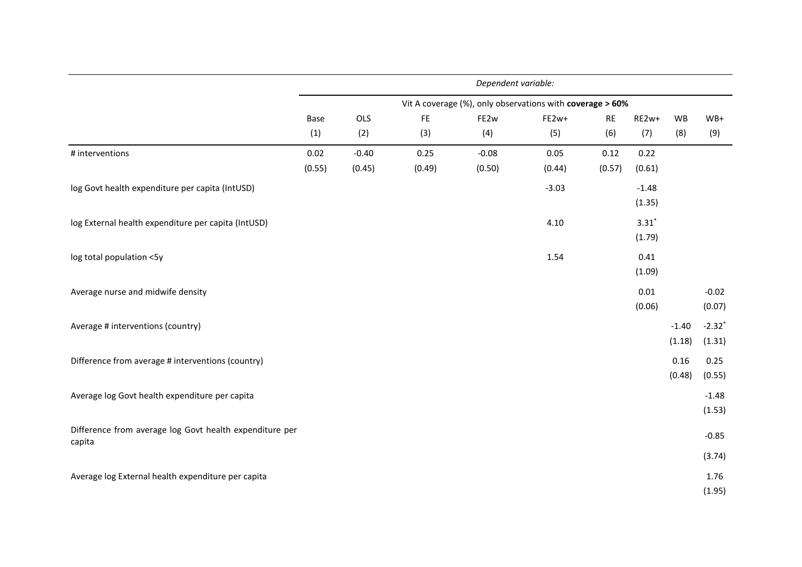|                                                         |        |         |        | Dependent variable:                                       |         |           |         |         |                      |
|---------------------------------------------------------|--------|---------|--------|-----------------------------------------------------------|---------|-----------|---------|---------|----------------------|
|                                                         |        |         |        | Vit A coverage (%), only observations with coverage > 60% |         |           |         |         |                      |
|                                                         | Base   | OLS     | FE     | FE2w                                                      | FE2w+   | <b>RE</b> | RE2w+   | WB      | $WB+$                |
|                                                         | (1)    | (2)     | (3)    | (4)                                                       | (5)     | (6)       | (7)     | (8)     | (9)                  |
| # interventions                                         | 0.02   | $-0.40$ | 0.25   | $-0.08$                                                   | 0.05    | 0.12      | 0.22    |         |                      |
|                                                         | (0.55) | (0.45)  | (0.49) | (0.50)                                                    | (0.44)  | (0.57)    | (0.61)  |         |                      |
| log Govt health expenditure per capita (IntUSD)         |        |         |        |                                                           | $-3.03$ |           | $-1.48$ |         |                      |
|                                                         |        |         |        |                                                           |         |           | (1.35)  |         |                      |
| log External health expenditure per capita (IntUSD)     |        |         |        |                                                           | 4.10    |           | $3.31*$ |         |                      |
|                                                         |        |         |        |                                                           |         |           | (1.79)  |         |                      |
| log total population <5y                                |        |         |        |                                                           | 1.54    |           | 0.41    |         |                      |
|                                                         |        |         |        |                                                           |         |           | (1.09)  |         |                      |
| Average nurse and midwife density                       |        |         |        |                                                           |         |           | 0.01    |         | $-0.02$              |
|                                                         |        |         |        |                                                           |         |           | (0.06)  |         | (0.07)               |
| Average # interventions (country)                       |        |         |        |                                                           |         |           |         | $-1.40$ | $-2.32$ <sup>*</sup> |
|                                                         |        |         |        |                                                           |         |           |         | (1.18)  | (1.31)               |
| Difference from average # interventions (country)       |        |         |        |                                                           |         |           |         | 0.16    | 0.25                 |
|                                                         |        |         |        |                                                           |         |           |         | (0.48)  | (0.55)               |
| Average log Govt health expenditure per capita          |        |         |        |                                                           |         |           |         |         | $-1.48$              |
|                                                         |        |         |        |                                                           |         |           |         |         | (1.53)               |
| Difference from average log Govt health expenditure per |        |         |        |                                                           |         |           |         |         | $-0.85$              |
| capita                                                  |        |         |        |                                                           |         |           |         |         |                      |
|                                                         |        |         |        |                                                           |         |           |         |         | (3.74)               |
| Average log External health expenditure per capita      |        |         |        |                                                           |         |           |         |         | 1.76                 |
|                                                         |        |         |        |                                                           |         |           |         |         | (1.95)               |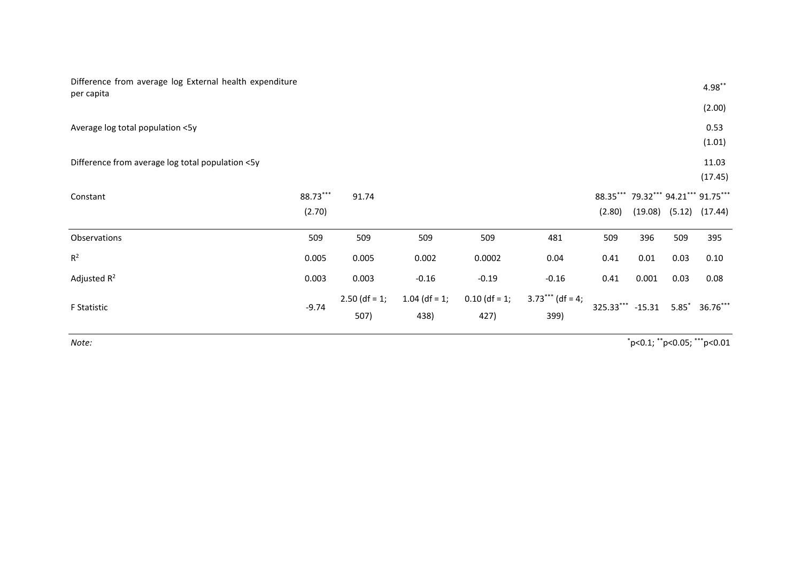| Difference from average log External health expenditure<br>per capita |          |                 |                  |                 |                    |                                     |         |         | $4.98***$        |
|-----------------------------------------------------------------------|----------|-----------------|------------------|-----------------|--------------------|-------------------------------------|---------|---------|------------------|
|                                                                       |          |                 |                  |                 |                    |                                     |         |         | (2.00)           |
| Average log total population <5y                                      |          |                 |                  |                 |                    |                                     |         |         | 0.53<br>(1.01)   |
| Difference from average log total population <5y                      |          |                 |                  |                 |                    |                                     |         |         | 11.03<br>(17.45) |
| Constant                                                              | 88.73*** | 91.74           |                  |                 |                    | 88.35*** 79.32*** 94.21*** 91.75*** |         |         |                  |
|                                                                       | (2.70)   |                 |                  |                 |                    | (2.80)                              | (19.08) | (5.12)  | (17.44)          |
| Observations                                                          | 509      | 509             | 509              | 509             | 481                | 509                                 | 396     | 509     | 395              |
| $R^2$                                                                 | 0.005    | 0.005           | 0.002            | 0.0002          | 0.04               | 0.41                                | 0.01    | 0.03    | 0.10             |
| Adjusted $R^2$                                                        | 0.003    | 0.003           | $-0.16$          | $-0.19$         | $-0.16$            | 0.41                                | 0.001   | 0.03    | 0.08             |
| F Statistic                                                           | $-9.74$  | $2.50$ (df = 1; | 1.04 (df = $1$ ; | $0.10$ (df = 1; | $3.73***$ (df = 4; | 325.33*** -15.31                    |         | $5.85*$ | $36.76***$       |
|                                                                       |          | 507)            | 438)             | 427)            | 399)               |                                     |         |         |                  |

*Note:* \*p<0.1; \*\*p<0.05; \*\*\*p<0.01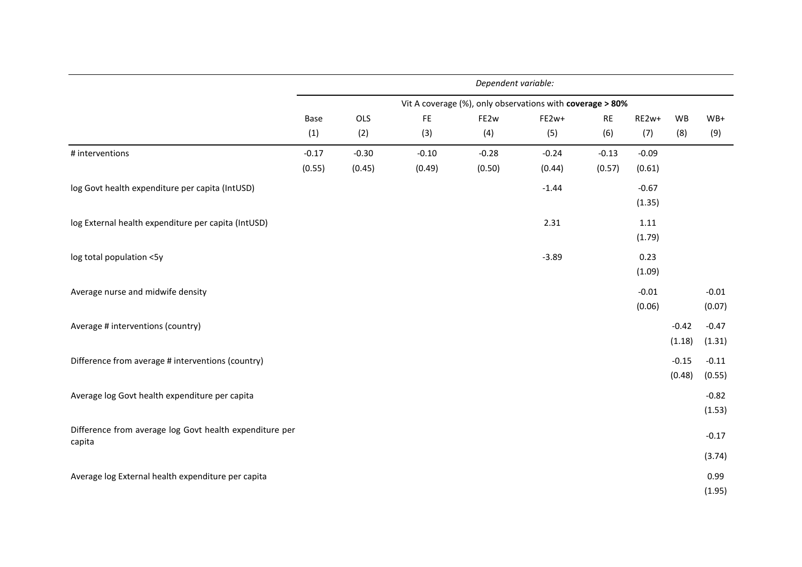|                                                         |         |         |         | Dependent variable:                                       |         |           |         |         |         |
|---------------------------------------------------------|---------|---------|---------|-----------------------------------------------------------|---------|-----------|---------|---------|---------|
|                                                         |         |         |         | Vit A coverage (%), only observations with coverage > 80% |         |           |         |         |         |
|                                                         | Base    | OLS     | FE      | FE2w                                                      | FE2w+   | <b>RE</b> | RE2w+   | WB      | $WB+$   |
|                                                         | (1)     | (2)     | (3)     | (4)                                                       | (5)     | (6)       | (7)     | (8)     | (9)     |
| # interventions                                         | $-0.17$ | $-0.30$ | $-0.10$ | $-0.28$                                                   | $-0.24$ | $-0.13$   | $-0.09$ |         |         |
|                                                         | (0.55)  | (0.45)  | (0.49)  | (0.50)                                                    | (0.44)  | (0.57)    | (0.61)  |         |         |
| log Govt health expenditure per capita (IntUSD)         |         |         |         |                                                           | $-1.44$ |           | $-0.67$ |         |         |
|                                                         |         |         |         |                                                           |         |           | (1.35)  |         |         |
| log External health expenditure per capita (IntUSD)     |         |         |         |                                                           | 2.31    |           | 1.11    |         |         |
|                                                         |         |         |         |                                                           |         |           | (1.79)  |         |         |
| log total population <5y                                |         |         |         |                                                           | $-3.89$ |           | 0.23    |         |         |
|                                                         |         |         |         |                                                           |         |           | (1.09)  |         |         |
| Average nurse and midwife density                       |         |         |         |                                                           |         |           | $-0.01$ |         | $-0.01$ |
|                                                         |         |         |         |                                                           |         |           | (0.06)  |         | (0.07)  |
| Average # interventions (country)                       |         |         |         |                                                           |         |           |         | $-0.42$ | $-0.47$ |
|                                                         |         |         |         |                                                           |         |           |         | (1.18)  | (1.31)  |
| Difference from average # interventions (country)       |         |         |         |                                                           |         |           |         | $-0.15$ | $-0.11$ |
|                                                         |         |         |         |                                                           |         |           |         | (0.48)  | (0.55)  |
| Average log Govt health expenditure per capita          |         |         |         |                                                           |         |           |         |         | $-0.82$ |
|                                                         |         |         |         |                                                           |         |           |         |         | (1.53)  |
| Difference from average log Govt health expenditure per |         |         |         |                                                           |         |           |         |         | $-0.17$ |
| capita                                                  |         |         |         |                                                           |         |           |         |         |         |
|                                                         |         |         |         |                                                           |         |           |         |         | (3.74)  |
| Average log External health expenditure per capita      |         |         |         |                                                           |         |           |         |         | 0.99    |
|                                                         |         |         |         |                                                           |         |           |         |         | (1.95)  |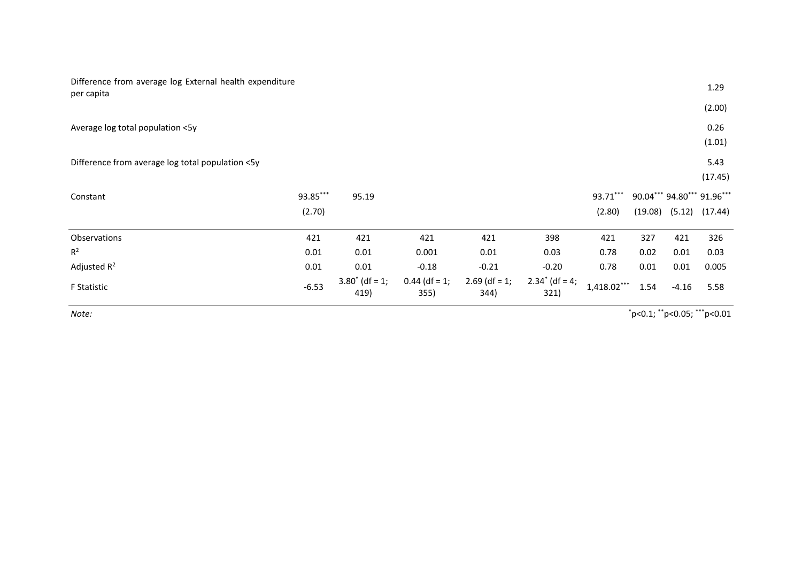| Difference from average log External health expenditure<br>per capita |          |                                 |                         |                         |                           |               |                            |         | 1.29               |
|-----------------------------------------------------------------------|----------|---------------------------------|-------------------------|-------------------------|---------------------------|---------------|----------------------------|---------|--------------------|
|                                                                       |          |                                 |                         |                         |                           |               |                            |         | (2.00)             |
| Average log total population <5y                                      |          |                                 |                         |                         |                           |               |                            |         | 0.26               |
|                                                                       |          |                                 |                         |                         |                           |               |                            |         | (1.01)             |
| Difference from average log total population <5y                      |          |                                 |                         |                         |                           |               |                            |         | 5.43               |
|                                                                       |          |                                 |                         |                         |                           |               |                            |         | (17.45)            |
| Constant                                                              | 93.85*** | 95.19                           |                         |                         |                           | 93.71***      | 90.04*** 94.80*** 91.96*** |         |                    |
|                                                                       | (2.70)   |                                 |                         |                         |                           | (2.80)        | (19.08)                    |         | $(5.12)$ $(17.44)$ |
| Observations                                                          | 421      | 421                             | 421                     | 421                     | 398                       | 421           | 327                        | 421     | 326                |
| $R^2$                                                                 | 0.01     | 0.01                            | 0.001                   | 0.01                    | 0.03                      | 0.78          | 0.02                       | 0.01    | 0.03               |
| Adjusted $R^2$                                                        | 0.01     | 0.01                            | $-0.18$                 | $-0.21$                 | $-0.20$                   | 0.78          | 0.01                       | 0.01    | 0.005              |
| F Statistic                                                           | $-6.53$  | $3.80^{\circ}$ (df = 1;<br>419) | $0.44$ (df = 1;<br>355) | $2.69$ (df = 1;<br>344) | $2.34^*$ (df = 4;<br>321) | $1,418.02***$ | 1.54                       | $-4.16$ | 5.58               |

*Note:* \*p<0.1; \*\*p<0.05; \*\*\*p<0.01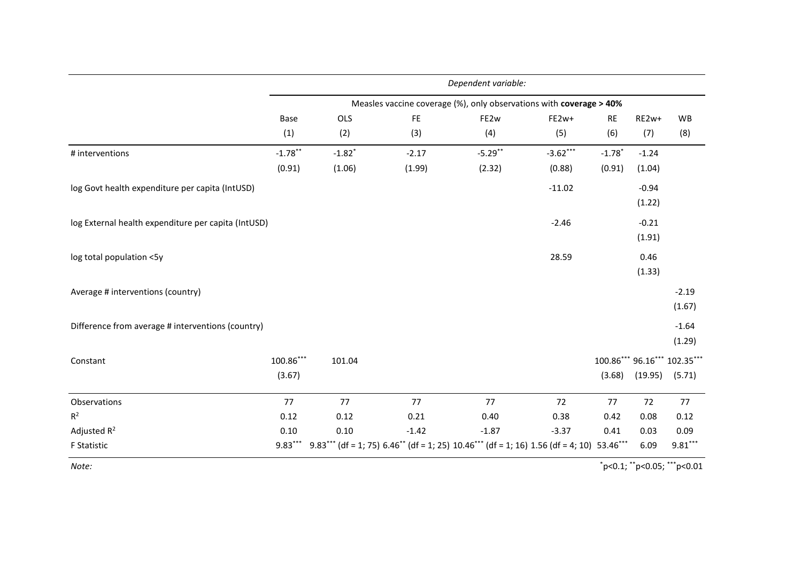|                                                     |                     | Dependent variable:  |               |            |                                                                                                 |                      |                   |                                        |  |  |  |  |  |
|-----------------------------------------------------|---------------------|----------------------|---------------|------------|-------------------------------------------------------------------------------------------------|----------------------|-------------------|----------------------------------------|--|--|--|--|--|
|                                                     |                     |                      |               |            | Measles vaccine coverage (%), only observations with coverage > 40%                             |                      |                   |                                        |  |  |  |  |  |
|                                                     | Base                | OLS                  | $\mathsf{FE}$ | FE2w       | FE2w+                                                                                           | <b>RE</b>            | RE2w+             | <b>WB</b>                              |  |  |  |  |  |
|                                                     | (1)                 | (2)                  | (3)           | (4)        | (5)                                                                                             | (6)                  | (7)               | (8)                                    |  |  |  |  |  |
| # interventions                                     | $-1.78$ **          | $-1.82$ <sup>*</sup> | $-2.17$       | $-5.29$ ** | $-3.62***$                                                                                      | $-1.78$ <sup>*</sup> | $-1.24$           |                                        |  |  |  |  |  |
|                                                     | (0.91)              | (1.06)               | (1.99)        | (2.32)     | (0.88)                                                                                          | (0.91)               | (1.04)            |                                        |  |  |  |  |  |
| log Govt health expenditure per capita (IntUSD)     |                     |                      |               |            | $-11.02$                                                                                        |                      | $-0.94$<br>(1.22) |                                        |  |  |  |  |  |
| log External health expenditure per capita (IntUSD) |                     |                      |               |            | $-2.46$                                                                                         |                      | $-0.21$<br>(1.91) |                                        |  |  |  |  |  |
| log total population <5y                            |                     |                      |               |            | 28.59                                                                                           |                      | 0.46<br>(1.33)    |                                        |  |  |  |  |  |
| Average # interventions (country)                   |                     |                      |               |            |                                                                                                 |                      |                   | $-2.19$<br>(1.67)                      |  |  |  |  |  |
| Difference from average # interventions (country)   |                     |                      |               |            |                                                                                                 |                      |                   | $-1.64$<br>(1.29)                      |  |  |  |  |  |
| Constant                                            | 100.86***<br>(3.67) | 101.04               |               |            |                                                                                                 | (3.68)               | (19.95)           | 100.86*** 96.16*** 102.35***<br>(5.71) |  |  |  |  |  |
| Observations                                        | 77                  | 77                   | 77            | 77         | 72                                                                                              | 77                   | 72                | 77                                     |  |  |  |  |  |
| $R^2$                                               | 0.12                | 0.12                 | 0.21          | 0.40       | 0.38                                                                                            | 0.42                 | 0.08              | 0.12                                   |  |  |  |  |  |
| Adjusted $R^2$                                      | 0.10                | 0.10                 | $-1.42$       | $-1.87$    | $-3.37$                                                                                         | 0.41                 | 0.03              | 0.09                                   |  |  |  |  |  |
| F Statistic                                         | $9.83***$           |                      |               |            | $9.83***$ (df = 1; 75) $6.46**$ (df = 1; 25) $10.46***$ (df = 1; 16) 1.56 (df = 4; 10) 53.46*** |                      | 6.09              | $9.81***$                              |  |  |  |  |  |
| Note:                                               |                     |                      |               |            |                                                                                                 |                      |                   | $"p<0.1;$ " $p<0.05;$ "" $p<0.01$      |  |  |  |  |  |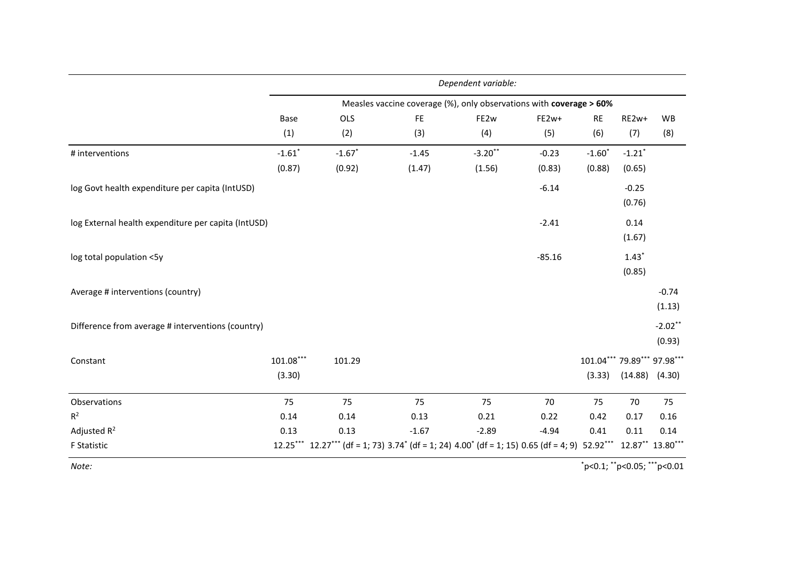|                                                     | Dependent variable:   |           |                                                                                               |            |          |                                       |                      |                      |  |  |  |
|-----------------------------------------------------|-----------------------|-----------|-----------------------------------------------------------------------------------------------|------------|----------|---------------------------------------|----------------------|----------------------|--|--|--|
|                                                     |                       |           | Measles vaccine coverage (%), only observations with coverage > 60%                           |            |          |                                       |                      |                      |  |  |  |
|                                                     | Base                  | OLS       | $\mathsf{FE}$                                                                                 | FE2w       | FE2w+    | RE                                    | RE2w+                | WB                   |  |  |  |
|                                                     | (1)                   | (2)       | (3)                                                                                           | (4)        | (5)      | (6)                                   | (7)                  | (8)                  |  |  |  |
| # interventions                                     | $-1.61$ <sup>*</sup>  | $-1.67$ * | $-1.45$                                                                                       | $-3.20$ ** | $-0.23$  | $-1.60$ <sup>*</sup>                  | $-1.21$ <sup>*</sup> |                      |  |  |  |
|                                                     | (0.87)                | (0.92)    | (1.47)                                                                                        | (1.56)     | (0.83)   | (0.88)                                | (0.65)               |                      |  |  |  |
| log Govt health expenditure per capita (IntUSD)     |                       |           |                                                                                               |            | $-6.14$  |                                       | $-0.25$<br>(0.76)    |                      |  |  |  |
| log External health expenditure per capita (IntUSD) |                       |           |                                                                                               |            | $-2.41$  |                                       | 0.14<br>(1.67)       |                      |  |  |  |
| log total population <5y                            |                       |           |                                                                                               |            | $-85.16$ |                                       | $1.43*$<br>(0.85)    |                      |  |  |  |
| Average # interventions (country)                   |                       |           |                                                                                               |            |          |                                       |                      | $-0.74$<br>(1.13)    |  |  |  |
| Difference from average # interventions (country)   |                       |           |                                                                                               |            |          |                                       |                      | $-2.02***$<br>(0.93) |  |  |  |
| Constant                                            | $101.08***$<br>(3.30) | 101.29    |                                                                                               |            |          | 101.04*** 79.89*** 97.98***<br>(3.33) |                      | $(14.88)$ $(4.30)$   |  |  |  |
| Observations                                        | 75                    | 75        | 75                                                                                            | 75         | 70       | 75                                    | 70                   | 75                   |  |  |  |
| $R^2$                                               | 0.14                  | 0.14      | 0.13                                                                                          | 0.21       | 0.22     | 0.42                                  | 0.17                 | 0.16                 |  |  |  |
| Adjusted $R^2$                                      | 0.13                  | 0.13      | $-1.67$                                                                                       | $-2.89$    | $-4.94$  | 0.41                                  | 0.11                 | 0.14                 |  |  |  |
| F Statistic                                         | $12.25***$            |           | $12.27***$ (df = 1; 73) $3.74*$ (df = 1; 24) $4.00*$ (df = 1; 15) 0.65 (df = 4; 9) $52.92***$ |            |          |                                       |                      | 12.87** 13.80***     |  |  |  |
| Note:                                               |                       |           |                                                                                               |            |          | $"p<0.1;$ **p<0.05; ***p<0.01         |                      |                      |  |  |  |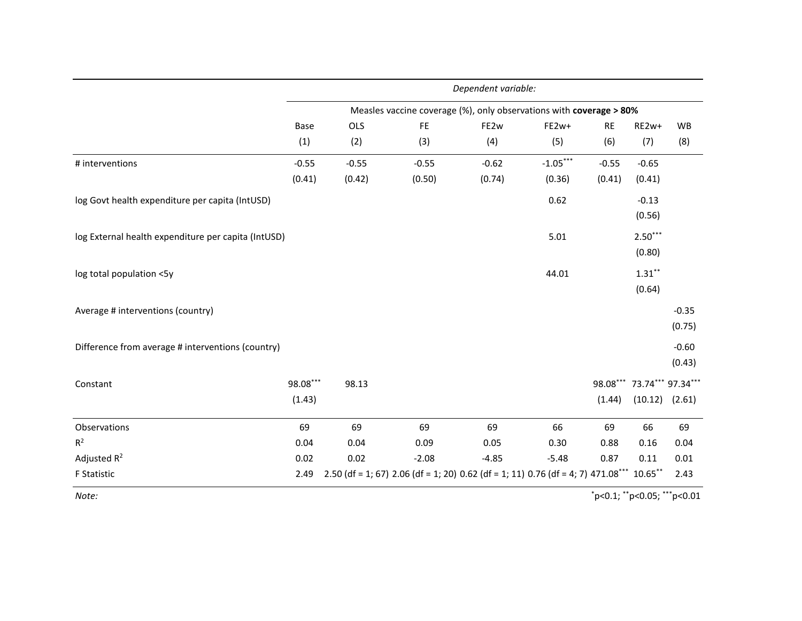|                                                     | Dependent variable: |         |         |                                                                                          |            |           |                                                  |                   |  |  |  |  |
|-----------------------------------------------------|---------------------|---------|---------|------------------------------------------------------------------------------------------|------------|-----------|--------------------------------------------------|-------------------|--|--|--|--|
|                                                     |                     |         |         | Measles vaccine coverage (%), only observations with coverage > 80%                      |            |           |                                                  |                   |  |  |  |  |
|                                                     | Base                | OLS     | FE      | FE2w                                                                                     | FE2w+      | <b>RE</b> | RE2w+                                            | WB                |  |  |  |  |
|                                                     | (1)                 | (2)     | (3)     | (4)                                                                                      | (5)        | (6)       | (7)                                              | (8)               |  |  |  |  |
| # interventions                                     | $-0.55$             | $-0.55$ | $-0.55$ | $-0.62$                                                                                  | $-1.05***$ | $-0.55$   | $-0.65$                                          |                   |  |  |  |  |
|                                                     | (0.41)              | (0.42)  | (0.50)  | (0.74)                                                                                   | (0.36)     | (0.41)    | (0.41)                                           |                   |  |  |  |  |
| log Govt health expenditure per capita (IntUSD)     |                     |         |         |                                                                                          | 0.62       |           | $-0.13$<br>(0.56)                                |                   |  |  |  |  |
| log External health expenditure per capita (IntUSD) |                     |         |         |                                                                                          | 5.01       |           | $2.50***$<br>(0.80)                              |                   |  |  |  |  |
| log total population <5y                            |                     |         |         |                                                                                          | 44.01      |           | $\mathbf{1.31}^{**}$<br>(0.64)                   |                   |  |  |  |  |
| Average # interventions (country)                   |                     |         |         |                                                                                          |            |           |                                                  | $-0.35$<br>(0.75) |  |  |  |  |
| Difference from average # interventions (country)   |                     |         |         |                                                                                          |            |           |                                                  | $-0.60$<br>(0.43) |  |  |  |  |
| Constant                                            | 98.08***<br>(1.43)  | 98.13   |         |                                                                                          |            | (1.44)    | 98.08*** 73.74*** 97.34***<br>$(10.12)$ $(2.61)$ |                   |  |  |  |  |
| Observations                                        | 69                  | 69      | 69      | 69                                                                                       | 66         | 69        | 66                                               | 69                |  |  |  |  |
| $R^2$                                               | 0.04                | 0.04    | 0.09    | 0.05                                                                                     | 0.30       | 0.88      | 0.16                                             | 0.04              |  |  |  |  |
| Adjusted $R^2$                                      | 0.02                | 0.02    | $-2.08$ | $-4.85$                                                                                  | $-5.48$    | 0.87      | 0.11                                             | 0.01              |  |  |  |  |
| <b>F</b> Statistic                                  | 2.49                |         |         | 2.50 (df = 1; 67) 2.06 (df = 1; 20) 0.62 (df = 1; 11) 0.76 (df = 4; 7) 471.08*** 10.65** |            |           |                                                  | 2.43              |  |  |  |  |
| Note:                                               |                     |         |         |                                                                                          |            |           | $"p<0.1;$ " $p<0.05;$ "" $p<0.01$                |                   |  |  |  |  |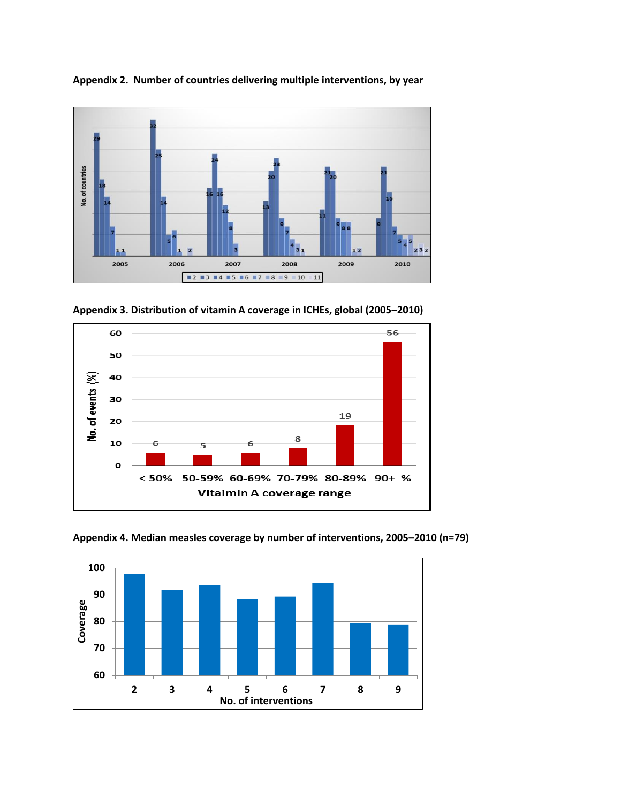

**Appendix 2. Number of countries delivering multiple interventions, by year**

**Appendix 3. Distribution of vitamin A coverage in ICHEs, global (2005–2010)**





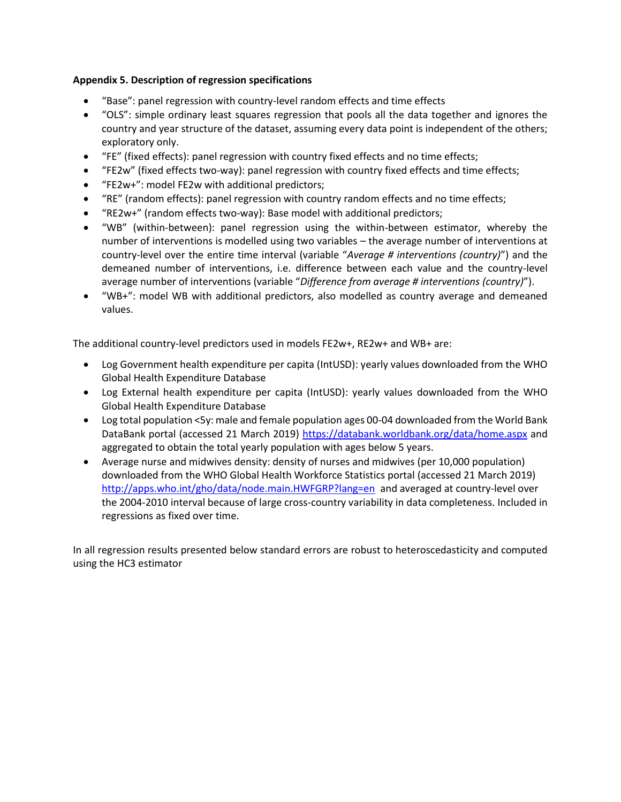## **Appendix 5. Description of regression specifications**

- "Base": panel regression with country-level random effects and time effects
- "OLS": simple ordinary least squares regression that pools all the data together and ignores the country and year structure of the dataset, assuming every data point is independent of the others; exploratory only.
- "FE" (fixed effects): panel regression with country fixed effects and no time effects;
- "FE2w" (fixed effects two-way): panel regression with country fixed effects and time effects;
- "FE2w+": model FE2w with additional predictors;
- "RE" (random effects): panel regression with country random effects and no time effects;
- "RE2w+" (random effects two-way): Base model with additional predictors;
- "WB" (within-between): panel regression using the within-between estimator, whereby the number of interventions is modelled using two variables – the average number of interventions at country-level over the entire time interval (variable "*Average # interventions (country)*") and the demeaned number of interventions, i.e. difference between each value and the country-level average number of interventions (variable "*Difference from average # interventions (country)*").
- "WB+": model WB with additional predictors, also modelled as country average and demeaned values.

The additional country-level predictors used in models FE2w+, RE2w+ and WB+ are:

- Log Government health expenditure per capita (IntUSD): yearly values downloaded from the WHO Global Health Expenditure Database
- Log External health expenditure per capita (IntUSD): yearly values downloaded from the WHO Global Health Expenditure Database
- Log total population <5y: male and female population ages 00-04 downloaded from the World Bank DataBank portal (accessed 21 March 2019) https://databank.worldbank.org/data/home.aspx and aggregated to obtain the total yearly population with ages below 5 years.
- Average nurse and midwives density: density of nurses and midwives (per 10,000 population) downloaded from the WHO Global Health Workforce Statistics portal (accessed 21 March 2019) http://apps.who.int/gho/data/node.main.HWFGRP?lang=en and averaged at country-level over the 2004-2010 interval because of large cross-country variability in data completeness. Included in regressions as fixed over time.

In all regression results presented below standard errors are robust to heteroscedasticity and computed using the HC3 estimator